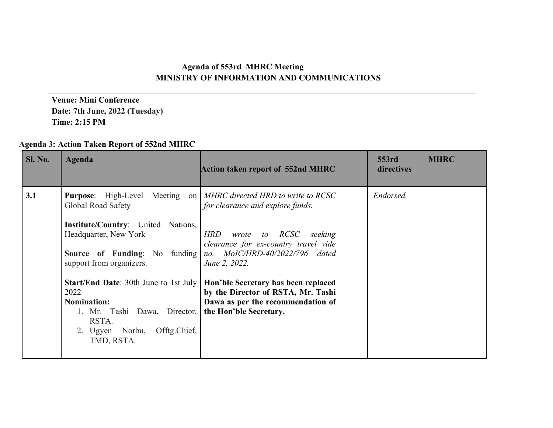## **Agenda of 553rd MHRC Meeting MINISTRY OF INFORMATION AND COMMUNICATIONS**

 **Venue: Mini Conference Date: 7th June, 2022 (Tuesday) Time: 2:15 PM**

| Agenda 3: Action Taken Report of 552nd MHRC |  |  |  |  |  |  |
|---------------------------------------------|--|--|--|--|--|--|
|---------------------------------------------|--|--|--|--|--|--|

| Sl. No. | <b>Agenda</b>                                                                                                                                                        | <b>Action taken report of 552nd MHRC</b>                                                                                                 | 553rd<br><b>MHRC</b><br>directives |
|---------|----------------------------------------------------------------------------------------------------------------------------------------------------------------------|------------------------------------------------------------------------------------------------------------------------------------------|------------------------------------|
| 3.1     | <b>Purpose:</b> High-Level Meeting<br>Global Road Safety<br><b>Institute/Country:</b> United Nations,                                                                | on   MHRC directed HRD to write to RCSC<br>for clearance and explore funds.                                                              | Endorsed.                          |
|         | Headquarter, New York<br><b>Source of Funding:</b> No funding<br>support from organizers.                                                                            | wrote to RCSC<br><b>HRD</b><br>seeking<br>clearance for ex-country travel vide<br>no. MoIC/HRD-40/2022/796 dated<br>June 2, 2022.        |                                    |
|         | <b>Start/End Date: 30th June to 1st July</b><br>2022<br><b>Nomination:</b><br>1. Mr. Tashi Dawa, Director,<br>RSTA.<br>Offtg.Chief,<br>2. Ugyen Norbu,<br>TMD, RSTA. | Hon'ble Secretary has been replaced<br>by the Director of RSTA, Mr. Tashi<br>Dawa as per the recommendation of<br>the Hon'ble Secretary. |                                    |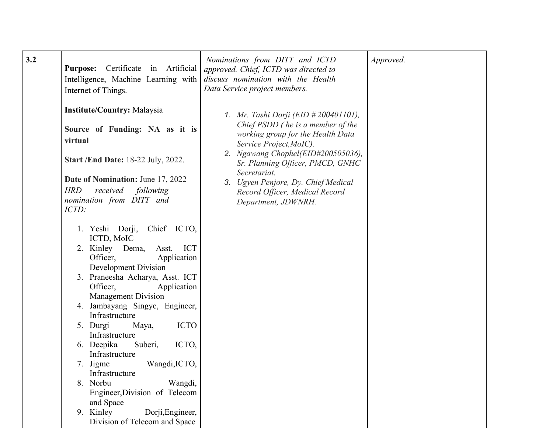| $3.2$ | Certificate in Artificial<br><b>Purpose:</b><br>Intelligence, Machine Learning with<br>Internet of Things.<br><b>Institute/Country: Malaysia</b><br>Source of Funding: NA as it is<br>virtual<br><b>Start /End Date: 18-22 July, 2022.</b><br><b>Date of Nomination:</b> June 17, 2022<br><b>HRD</b><br>received following<br>nomination from DITT and<br>ICTD:<br>1. Yeshi Dorji, Chief ICTO,                                                                                                                                            | Nominations from DITT and ICTD<br>approved. Chief, ICTD was directed to<br>discuss nomination with the Health<br>Data Service project members.<br>1. Mr. Tashi Dorji (EID # 200401101),<br>Chief PSDD (he is a member of the<br>working group for the Health Data<br>Service Project, MoIC).<br>2. Ngawang Chophel(EID#200505036),<br>Sr. Planning Officer, PMCD, GNHC<br>Secretariat.<br>3. Ugyen Penjore, Dy. Chief Medical<br>Record Officer, Medical Record<br>Department, JDWNRH. | Approved. |
|-------|-------------------------------------------------------------------------------------------------------------------------------------------------------------------------------------------------------------------------------------------------------------------------------------------------------------------------------------------------------------------------------------------------------------------------------------------------------------------------------------------------------------------------------------------|----------------------------------------------------------------------------------------------------------------------------------------------------------------------------------------------------------------------------------------------------------------------------------------------------------------------------------------------------------------------------------------------------------------------------------------------------------------------------------------|-----------|
|       | ICTD, MoIC<br>2. Kinley Dema,<br>ICT<br>Asst.<br>Officer,<br>Application<br>Development Division<br>3. Praneesha Acharya, Asst. ICT<br>Officer,<br>Application<br>Management Division<br>4. Jambayang Singye, Engineer,<br>Infrastructure<br><b>ICTO</b><br>5. Durgi<br>Maya,<br>Infrastructure<br>ICTO,<br>6. Deepika<br>Suberi,<br>Infrastructure<br>Wangdi, ICTO,<br>7. Jigme<br>Infrastructure<br>8. Norbu<br>Wangdi,<br>Engineer, Division of Telecom<br>and Space<br>9. Kinley<br>Dorji, Engineer,<br>Division of Telecom and Space |                                                                                                                                                                                                                                                                                                                                                                                                                                                                                        |           |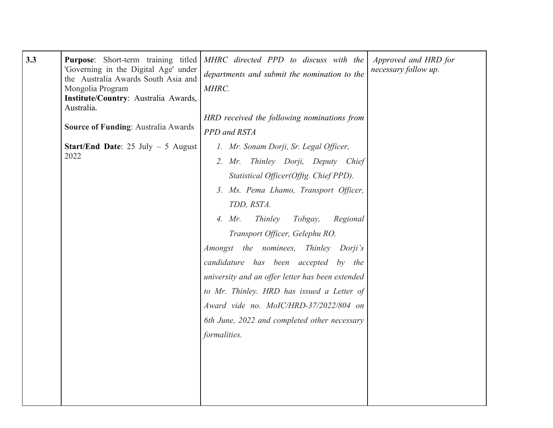| 3.3 | Purpose: Short-term training titled<br>'Governing in the Digital Age' under<br>the Australia Awards South Asia and<br>Mongolia Program<br>Institute/Country: Australia Awards,<br>Australia. | MHRC directed PPD to discuss with the<br>departments and submit the nomination to the<br>MHRC.<br>HRD received the following nominations from                                                                                                                                                                                                                                                                                                                                                                                                            | Approved and HRD for<br>necessary follow up. |
|-----|----------------------------------------------------------------------------------------------------------------------------------------------------------------------------------------------|----------------------------------------------------------------------------------------------------------------------------------------------------------------------------------------------------------------------------------------------------------------------------------------------------------------------------------------------------------------------------------------------------------------------------------------------------------------------------------------------------------------------------------------------------------|----------------------------------------------|
|     | <b>Source of Funding: Australia Awards</b>                                                                                                                                                   | PPD and RSTA                                                                                                                                                                                                                                                                                                                                                                                                                                                                                                                                             |                                              |
|     | <b>Start/End Date:</b> 25 July $-$ 5 August<br>2022                                                                                                                                          | 1. Mr. Sonam Dorji, Sr. Legal Officer,<br>2. Mr. Thinley Dorji, Deputy Chief<br>Statistical Officer(Offtg. Chief PPD).<br>3. Ms. Pema Lhamo, Transport Officer,<br>TDD, RSTA.<br>Thinley<br>Tobgay,<br>Regional<br>4. Mr.<br>Transport Officer, Gelephu RO.<br>Amongst the nominees, Thinley Dorji's<br>candidature has been accepted by the<br>university and an offer letter has been extended<br>to Mr. Thinley. HRD has issued a Letter of<br>Award vide no. MoIC/HRD-37/2022/804 on<br>6th June, 2022 and completed other necessary<br>formalities. |                                              |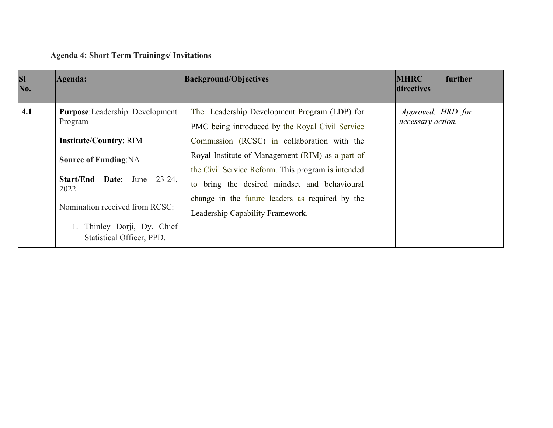## **Agenda 4: Short Term Trainings/ Invitations**

| <b>SI</b><br>No. | Agenda:                                                                                                                                                                                                                                                              | <b>Background/Objectives</b>                                                                                                                                                                                                                                                                                                                                                                    | <b>MHRC</b><br>further<br>directives   |
|------------------|----------------------------------------------------------------------------------------------------------------------------------------------------------------------------------------------------------------------------------------------------------------------|-------------------------------------------------------------------------------------------------------------------------------------------------------------------------------------------------------------------------------------------------------------------------------------------------------------------------------------------------------------------------------------------------|----------------------------------------|
| 4.1              | <b>Purpose:</b> Leadership Development<br>Program<br><b>Institute/Country: RIM</b><br><b>Source of Funding: NA</b><br><b>Start/End Date:</b> June<br>$23 - 24$ ,<br>2022.<br>Nomination received from RCSC:<br>Thinley Dorji, Dy. Chief<br>Statistical Officer, PPD. | The Leadership Development Program (LDP) for<br>PMC being introduced by the Royal Civil Service<br>Commission (RCSC) in collaboration with the<br>Royal Institute of Management (RIM) as a part of<br>the Civil Service Reform. This program is intended<br>to bring the desired mindset and behavioural<br>change in the future leaders as required by the<br>Leadership Capability Framework. | Approved. HRD for<br>necessary action. |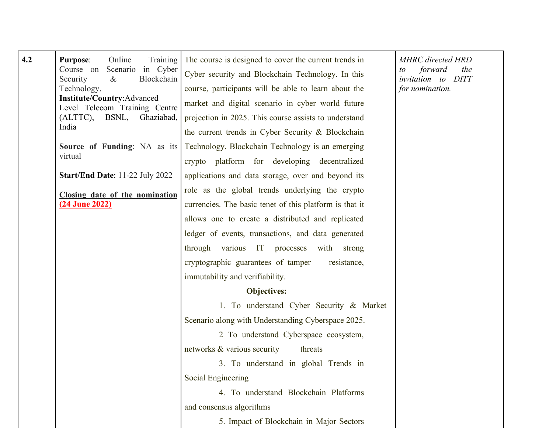| 4.2 | <b>Purpose:</b><br>Online<br>Training<br>Course on<br>Scenario in Cyber<br>$\&$<br>Blockchain<br>Security<br>Technology,<br><b>Institute/Country:Advanced</b><br>Level Telecom Training Centre<br>Ghaziabad,<br>(ALTTC), BSNL,<br>India | The course is designed to cover the current trends in<br>Cyber security and Blockchain Technology. In this<br>course, participants will be able to learn about the<br>market and digital scenario in cyber world future<br>projection in 2025. This course assists to understand<br>the current trends in Cyber Security & Blockchain | <b>MHRC</b> directed HRD<br>forward<br>the<br>to<br>invitation to DITT<br>for nomination. |
|-----|-----------------------------------------------------------------------------------------------------------------------------------------------------------------------------------------------------------------------------------------|---------------------------------------------------------------------------------------------------------------------------------------------------------------------------------------------------------------------------------------------------------------------------------------------------------------------------------------|-------------------------------------------------------------------------------------------|
|     | Source of Funding: NA as its<br>virtual                                                                                                                                                                                                 | Technology. Blockchain Technology is an emerging<br>crypto platform for developing decentralized                                                                                                                                                                                                                                      |                                                                                           |
|     | Start/End Date: 11-22 July 2022                                                                                                                                                                                                         | applications and data storage, over and beyond its                                                                                                                                                                                                                                                                                    |                                                                                           |
|     | Closing date of the nomination                                                                                                                                                                                                          | role as the global trends underlying the crypto                                                                                                                                                                                                                                                                                       |                                                                                           |
|     | <u>(24 June 2022)</u>                                                                                                                                                                                                                   | currencies. The basic tenet of this platform is that it                                                                                                                                                                                                                                                                               |                                                                                           |
|     |                                                                                                                                                                                                                                         | allows one to create a distributed and replicated                                                                                                                                                                                                                                                                                     |                                                                                           |
|     |                                                                                                                                                                                                                                         | ledger of events, transactions, and data generated                                                                                                                                                                                                                                                                                    |                                                                                           |
|     |                                                                                                                                                                                                                                         | through various IT processes with strong                                                                                                                                                                                                                                                                                              |                                                                                           |
|     |                                                                                                                                                                                                                                         | cryptographic guarantees of tamper<br>resistance,                                                                                                                                                                                                                                                                                     |                                                                                           |
|     |                                                                                                                                                                                                                                         | immutability and verifiability.                                                                                                                                                                                                                                                                                                       |                                                                                           |
|     |                                                                                                                                                                                                                                         | <b>Objectives:</b>                                                                                                                                                                                                                                                                                                                    |                                                                                           |
|     |                                                                                                                                                                                                                                         | 1. To understand Cyber Security & Market                                                                                                                                                                                                                                                                                              |                                                                                           |
|     |                                                                                                                                                                                                                                         | Scenario along with Understanding Cyberspace 2025.                                                                                                                                                                                                                                                                                    |                                                                                           |
|     |                                                                                                                                                                                                                                         | 2 To understand Cyberspace ecosystem,                                                                                                                                                                                                                                                                                                 |                                                                                           |
|     |                                                                                                                                                                                                                                         | networks & various security<br>threats                                                                                                                                                                                                                                                                                                |                                                                                           |
|     |                                                                                                                                                                                                                                         | 3. To understand in global Trends in                                                                                                                                                                                                                                                                                                  |                                                                                           |
|     |                                                                                                                                                                                                                                         | Social Engineering                                                                                                                                                                                                                                                                                                                    |                                                                                           |
|     |                                                                                                                                                                                                                                         | 4. To understand Blockchain Platforms                                                                                                                                                                                                                                                                                                 |                                                                                           |
|     |                                                                                                                                                                                                                                         | and consensus algorithms                                                                                                                                                                                                                                                                                                              |                                                                                           |
|     |                                                                                                                                                                                                                                         | 5. Impact of Blockchain in Major Sectors                                                                                                                                                                                                                                                                                              |                                                                                           |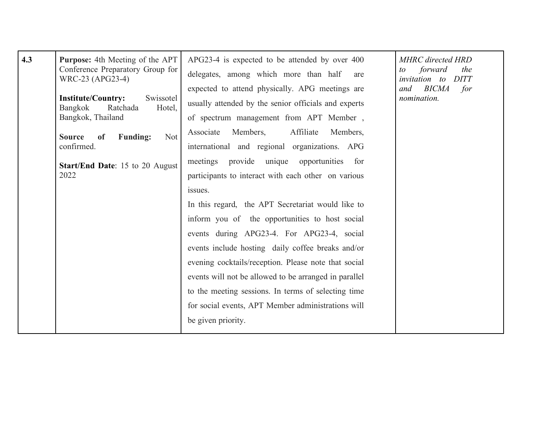| 4.3 | <b>Purpose:</b> 4th Meeting of the APT<br>Conference Preparatory Group for<br>WRC-23 (APG23-4)<br><b>Institute/Country:</b><br>Swissotel<br><b>Bangkok</b><br>Ratchada<br>Hotel,<br>Bangkok, Thailand<br>Not<br><b>Funding:</b><br>of<br><b>Source</b><br>confirmed.<br><b>Start/End Date:</b> 15 to 20 August<br>2022 | APG23-4 is expected to be attended by over 400<br>delegates, among which more than half<br>are<br>expected to attend physically. APG meetings are<br>usually attended by the senior officials and experts<br>of spectrum management from APT Member,<br>Members,<br>Affiliate<br>Associate<br>Members,<br>international and regional organizations. APG<br>provide<br>unique opportunities for<br>meetings<br>participants to interact with each other on various<br>issues.<br>In this regard, the APT Secretariat would like to<br>inform you of the opportunities to host social<br>events during APG23-4. For APG23-4, social<br>events include hosting daily coffee breaks and/or<br>evening cocktails/reception. Please note that social<br>events will not be allowed to be arranged in parallel | <b>MHRC</b> directed HRD<br>forward<br>the<br>to<br><i>invitation</i> to<br>DITT<br>BICMA<br>and<br>for<br>nomination. |
|-----|------------------------------------------------------------------------------------------------------------------------------------------------------------------------------------------------------------------------------------------------------------------------------------------------------------------------|---------------------------------------------------------------------------------------------------------------------------------------------------------------------------------------------------------------------------------------------------------------------------------------------------------------------------------------------------------------------------------------------------------------------------------------------------------------------------------------------------------------------------------------------------------------------------------------------------------------------------------------------------------------------------------------------------------------------------------------------------------------------------------------------------------|------------------------------------------------------------------------------------------------------------------------|
|     |                                                                                                                                                                                                                                                                                                                        | to the meeting sessions. In terms of selecting time<br>for social events, APT Member administrations will<br>be given priority.                                                                                                                                                                                                                                                                                                                                                                                                                                                                                                                                                                                                                                                                         |                                                                                                                        |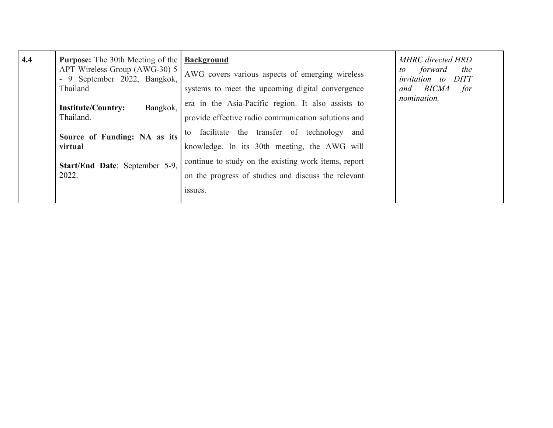| 4.4 | <b>Purpose:</b> The 30th Meeting of the<br>APT Wireless Group (AWG-30) 5<br>- 9 September 2022, Bangkok,<br>Thailand | <b>Background</b><br>AWG covers various aspects of emerging wireless<br>systems to meet the upcoming digital convergence | <b>MHRC</b> directed HRD<br>the<br>forward<br>to<br><i>invitation</i> to<br>DITT<br>BICMA<br>for<br>and |
|-----|----------------------------------------------------------------------------------------------------------------------|--------------------------------------------------------------------------------------------------------------------------|---------------------------------------------------------------------------------------------------------|
|     | Bangkok,<br><b>Institute/Country:</b><br>Thailand.                                                                   | era in the Asia-Pacific region. It also assists to<br>provide effective radio communication solutions and                | nomination.                                                                                             |
|     | Source of Funding: NA as its<br>virtual                                                                              | facilitate the transfer of technology<br>and<br>to<br>knowledge. In its 30th meeting, the AWG will                       |                                                                                                         |
|     | Start/End Date: September 5-9,<br>2022.                                                                              | continue to study on the existing work items, report<br>on the progress of studies and discuss the relevant<br>issues.   |                                                                                                         |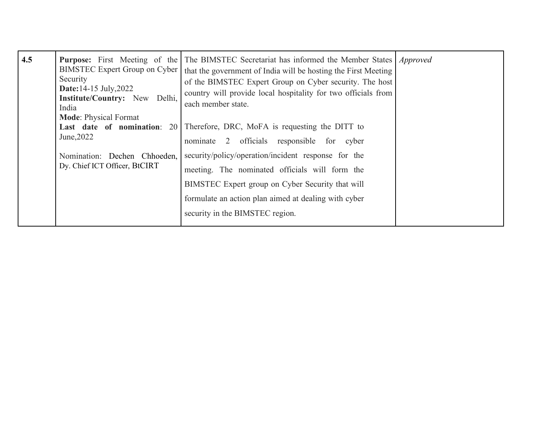| 4.5 | Security<br><b>Date:</b> 14-15 July, 2022<br><b>Institute/Country:</b> New<br>Delhi,<br>India<br><b>Mode: Physical Format</b><br>Last date of nomination:<br>June, 2022<br>Nomination: Dechen Chhoeden,<br>Dy. Chief ICT Officer, BtCIRT | <b>Purpose:</b> First Meeting of the The BIMSTEC Secretariat has informed the Member States<br>BIMSTEC Expert Group on Cyber   that the government of India will be hosting the First Meeting<br>of the BIMSTEC Expert Group on Cyber security. The host<br>country will provide local hospitality for two officials from<br>each member state.<br>20 Therefore, DRC, MoFA is requesting the DITT to<br>nominate 2 officials responsible for cyber<br>security/policy/operation/incident response for the<br>meeting. The nominated officials will form the<br>BIMSTEC Expert group on Cyber Security that will<br>formulate an action plan aimed at dealing with cyber | <i>Approved</i> |
|-----|------------------------------------------------------------------------------------------------------------------------------------------------------------------------------------------------------------------------------------------|-------------------------------------------------------------------------------------------------------------------------------------------------------------------------------------------------------------------------------------------------------------------------------------------------------------------------------------------------------------------------------------------------------------------------------------------------------------------------------------------------------------------------------------------------------------------------------------------------------------------------------------------------------------------------|-----------------|
|     |                                                                                                                                                                                                                                          | security in the BIMSTEC region.                                                                                                                                                                                                                                                                                                                                                                                                                                                                                                                                                                                                                                         |                 |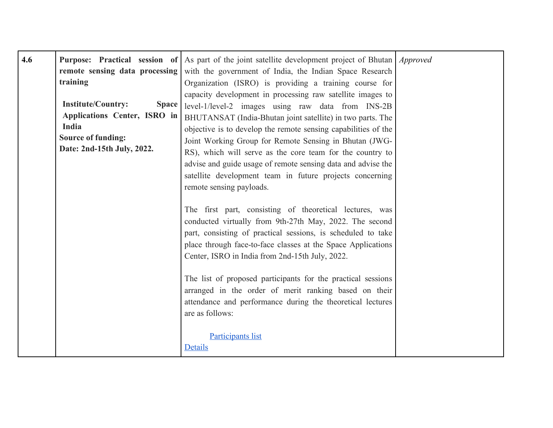| 4.6 | remote sensing data processing<br>training                                                                                                    | <b>Purpose:</b> Practical session of As part of the joint satellite development project of Bhutan <i>Approved</i><br>with the government of India, the Indian Space Research<br>Organization (ISRO) is providing a training course for                                                                                                                                                                                                                                                             |  |
|-----|-----------------------------------------------------------------------------------------------------------------------------------------------|----------------------------------------------------------------------------------------------------------------------------------------------------------------------------------------------------------------------------------------------------------------------------------------------------------------------------------------------------------------------------------------------------------------------------------------------------------------------------------------------------|--|
|     | <b>Institute/Country:</b><br><b>Space</b><br>Applications Center, ISRO in<br>India<br><b>Source of funding:</b><br>Date: 2nd-15th July, 2022. | capacity development in processing raw satellite images to<br>level-1/level-2 images using raw data from INS-2B<br>BHUTANSAT (India-Bhutan joint satellite) in two parts. The<br>objective is to develop the remote sensing capabilities of the<br>Joint Working Group for Remote Sensing in Bhutan (JWG-<br>RS), which will serve as the core team for the country to<br>advise and guide usage of remote sensing data and advise the<br>satellite development team in future projects concerning |  |
|     |                                                                                                                                               | remote sensing payloads.<br>The first part, consisting of theoretical lectures, was<br>conducted virtually from 9th-27th May, 2022. The second<br>part, consisting of practical sessions, is scheduled to take<br>place through face-to-face classes at the Space Applications<br>Center, ISRO in India from 2nd-15th July, 2022.                                                                                                                                                                  |  |
|     |                                                                                                                                               | The list of proposed participants for the practical sessions<br>arranged in the order of merit ranking based on their<br>attendance and performance during the theoretical lectures<br>are as follows:                                                                                                                                                                                                                                                                                             |  |
|     |                                                                                                                                               | <b>Participants list</b><br>Details                                                                                                                                                                                                                                                                                                                                                                                                                                                                |  |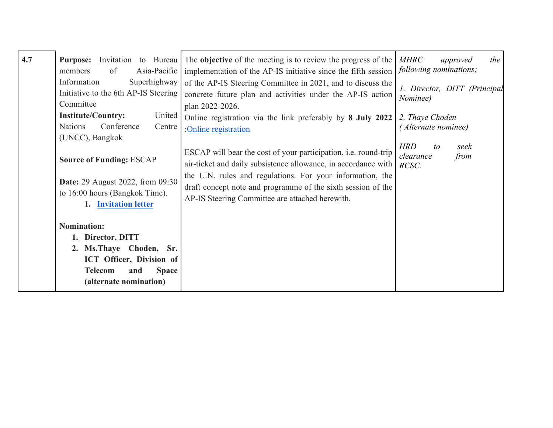| 4.7 | Invitation to Bureau<br><b>Purpose:</b><br>members<br>Asia-Pacific<br>of<br>Superhighway<br>Information<br>Initiative to the 6th AP-IS Steering<br>Committee<br><b>Institute/Country:</b><br>United<br>Conference<br><b>Nations</b><br>Centre<br>(UNCC), Bangkok<br><b>Source of Funding: ESCAP</b><br><b>Date:</b> 29 August 2022, from 09:30<br>to 16:00 hours (Bangkok Time).<br>1. Invitation letter | The objective of the meeting is to review the progress of the<br>implementation of the AP-IS initiative since the fifth session<br>of the AP-IS Steering Committee in 2021, and to discuss the<br>concrete future plan and activities under the AP-IS action<br>plan 2022-2026.<br>Online registration via the link preferably by 8 July 2022<br>:Online registration<br>ESCAP will bear the cost of your participation, <i>i.e.</i> round-trip<br>air-ticket and daily subsistence allowance, in accordance with<br>the U.N. rules and regulations. For your information, the<br>draft concept note and programme of the sixth session of the<br>AP-IS Steering Committee are attached herewith. | <b>MHRC</b><br>the<br>approved<br>following nominations;<br>1. Director, DITT (Principal<br>Nominee)<br>2. Thaye Choden<br>(Alternate nominee)<br><b>HRD</b><br>seek<br>to<br>clearance<br>from<br>RCSC. |
|-----|----------------------------------------------------------------------------------------------------------------------------------------------------------------------------------------------------------------------------------------------------------------------------------------------------------------------------------------------------------------------------------------------------------|---------------------------------------------------------------------------------------------------------------------------------------------------------------------------------------------------------------------------------------------------------------------------------------------------------------------------------------------------------------------------------------------------------------------------------------------------------------------------------------------------------------------------------------------------------------------------------------------------------------------------------------------------------------------------------------------------|----------------------------------------------------------------------------------------------------------------------------------------------------------------------------------------------------------|
|     | <b>Nomination:</b><br>1. Director, DITT<br>2. Ms. Thaye Choden, Sr.<br>ICT Officer, Division of<br><b>Telecom</b><br><b>Space</b><br>and<br>(alternate nomination)                                                                                                                                                                                                                                       |                                                                                                                                                                                                                                                                                                                                                                                                                                                                                                                                                                                                                                                                                                   |                                                                                                                                                                                                          |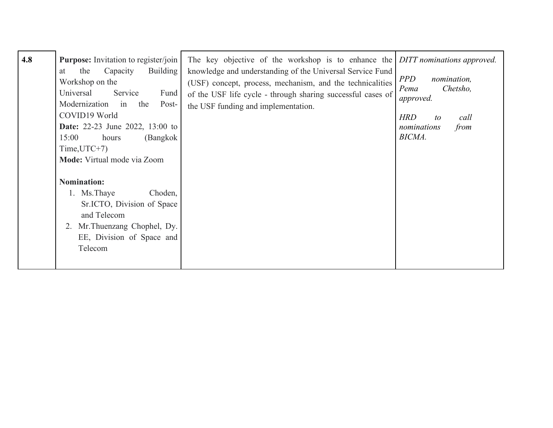| 4.8 | <b>Purpose:</b> Invitation to register/join<br>the<br>Capacity<br><b>Building</b><br>at<br>Workshop on the<br>Universal<br>Service<br>Fund<br>Modernization in the<br>Post-<br>COVID19 World<br><b>Date:</b> 22-23 June 2022, 13:00 to<br>15:00<br>(Bangkok<br>hours<br>$Time, UTC+7)$<br>Mode: Virtual mode via Zoom | The key objective of the workshop is to enhance the <i>DITT nominations approved</i> .<br>knowledge and understanding of the Universal Service Fund<br>(USF) concept, process, mechanism, and the technicalities<br>of the USF life cycle - through sharing successful cases of<br>the USF funding and implementation. | <i>PPD</i><br>nomination,<br>Chetsho,<br>Pema<br>approved.<br><b>HRD</b><br>call<br>to<br>from<br>nominations<br>BICMA. |
|-----|-----------------------------------------------------------------------------------------------------------------------------------------------------------------------------------------------------------------------------------------------------------------------------------------------------------------------|------------------------------------------------------------------------------------------------------------------------------------------------------------------------------------------------------------------------------------------------------------------------------------------------------------------------|-------------------------------------------------------------------------------------------------------------------------|
|     | <b>Nomination:</b><br>1. Ms. Thaye<br>Choden,<br>Sr.ICTO, Division of Space<br>and Telecom<br>Mr. Thuenzang Chophel, Dy.<br>2.<br>EE, Division of Space and<br>Telecom                                                                                                                                                |                                                                                                                                                                                                                                                                                                                        |                                                                                                                         |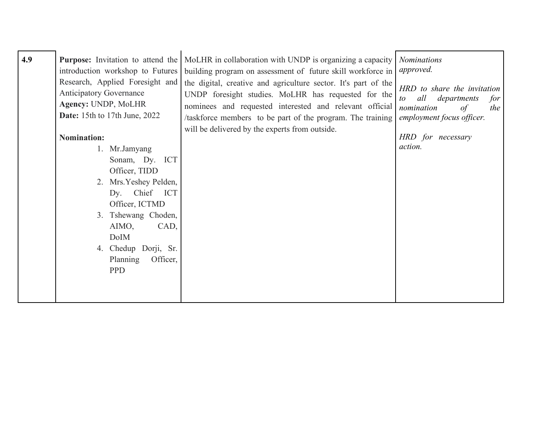| 4.9 | Purpose: Invitation to attend the<br>introduction workshop to Futures<br>Research, Applied Foresight and<br><b>Anticipatory Governance</b><br>Agency: UNDP, MoLHR<br><b>Date:</b> 15th to 17th June, 2022                                                   | MoLHR in collaboration with UNDP is organizing a capacity<br>building program on assessment of future skill workforce in<br>the digital, creative and agriculture sector. It's part of the<br>UNDP foresight studies. MoLHR has requested for the<br>nominees and requested interested and relevant official<br>/taskforce members to be part of the program. The training | <b>Nominations</b><br>approved.<br>HRD to share the invitation<br>all<br>departments<br>for<br>$\iota$<br>nomination<br>$\circ f$<br>the<br>employment focus officer. |
|-----|-------------------------------------------------------------------------------------------------------------------------------------------------------------------------------------------------------------------------------------------------------------|----------------------------------------------------------------------------------------------------------------------------------------------------------------------------------------------------------------------------------------------------------------------------------------------------------------------------------------------------------------------------|-----------------------------------------------------------------------------------------------------------------------------------------------------------------------|
|     | <b>Nomination:</b><br>1. Mr.Jamyang<br>Sonam, Dy. ICT<br>Officer, TIDD<br>2. Mrs. Yeshey Pelden,<br>Dy. Chief<br><b>ICT</b><br>Officer, ICTMD<br>3. Tshewang Choden,<br>AIMO,<br>CAD,<br>DoIM<br>4. Chedup Dorji, Sr.<br>Planning<br>Officer,<br><b>PPD</b> | will be delivered by the experts from outside.                                                                                                                                                                                                                                                                                                                             | HRD for necessary<br>action.                                                                                                                                          |